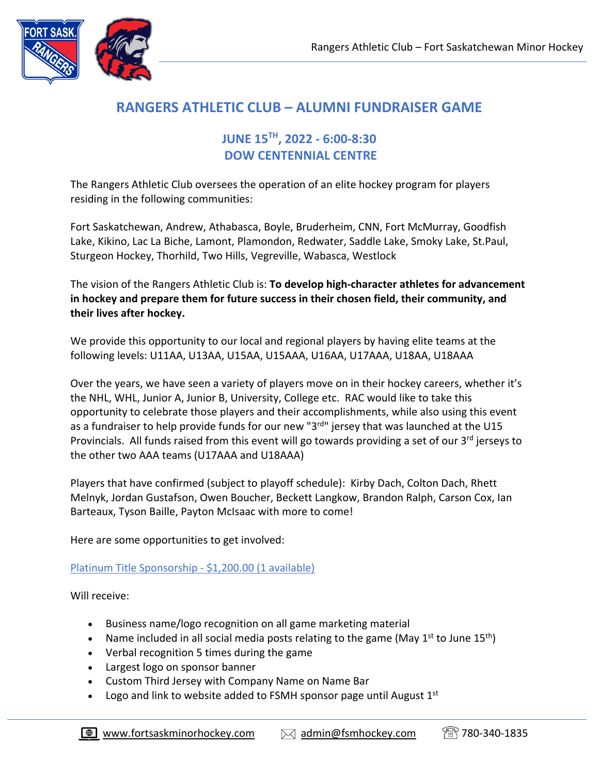

# **RANGERS ATHLETIC CLUB – ALUMNI FUNDRAISER GAME**

# **JUNE 15TH, 2022 - 6:00-8:30 DOW CENTENNIAL CENTRE**

The Rangers Athletic Club oversees the operation of an elite hockey program for players residing in the following communities:

Fort Saskatchewan, Andrew, Athabasca, Boyle, Bruderheim, CNN, Fort McMurray, Goodfish Lake, Kikino, Lac La Biche, Lamont, Plamondon, Redwater, Saddle Lake, Smoky Lake, St.Paul, Sturgeon Hockey, Thorhild, Two Hills, Vegreville, Wabasca, Westlock

The vision of the Rangers Athletic Club is: **To develop high-character athletes for advancement in hockey and prepare them for future success in their chosen field, their community, and their lives after hockey.**

We provide this opportunity to our local and regional players by having elite teams at the following levels: U11AA, U13AA, U15AA, U15AAA, U16AA, U17AAA, U18AA, U18AAA

Over the years, we have seen a variety of players move on in their hockey careers, whether it's the NHL, WHL, Junior A, Junior B, University, College etc. RAC would like to take this opportunity to celebrate those players and their accomplishments, while also using this event as a fundraiser to help provide funds for our new "3rd" jersey that was launched at the U15 Provincials. All funds raised from this event will go towards providing a set of our 3<sup>rd</sup> jerseys to the other two AAA teams (U17AAA and U18AAA)

Players that have confirmed (subject to playoff schedule): Kirby Dach, Colton Dach, Rhett Melnyk, Jordan Gustafson, Owen Boucher, Beckett Langkow, Brandon Ralph, Carson Cox, Ian Barteaux, Tyson Baille, Payton McIsaac with more to come!

Here are some opportunities to get involved:

Platinum Title Sponsorship - \$1,200.00 (1 available)

Will receive:

- Business name/logo recognition on all game marketing material
- Name included in all social media posts relating to the game (May  $1^{st}$  to June  $15^{th}$ )
- Verbal recognition 5 times during the game
- Largest logo on sponsor banner
- Custom Third Jersey with Company Name on Name Bar
- Logo and link to website added to FSMH sponsor page until August  $1<sup>st</sup>$